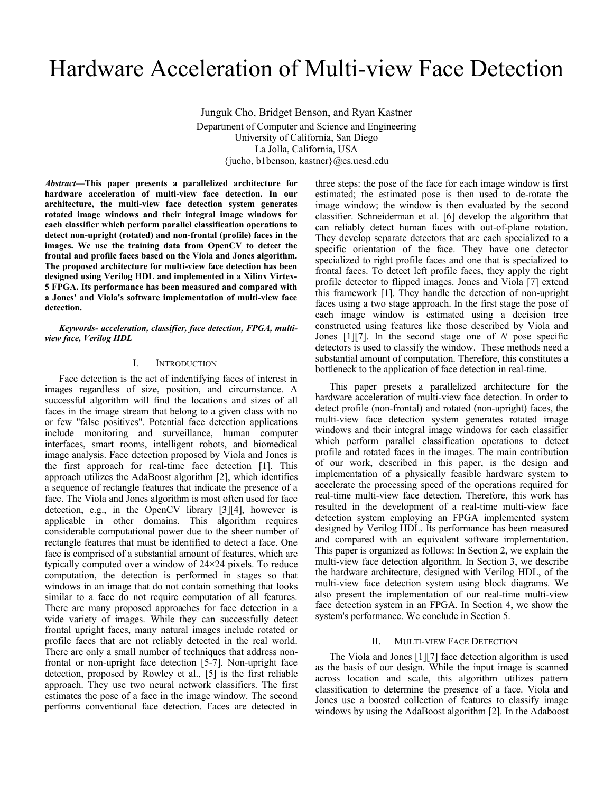# Hardware Acceleration of Multi-view Face Detection

Junguk Cho, Bridget Benson, and Ryan Kastner Department of Computer and Science and Engineering University of California, San Diego La Jolla, California, USA {jucho, b1benson, kastner}@cs.ucsd.edu

*Abstract***—This paper presents a parallelized architecture for hardware acceleration of multi-view face detection. In our architecture, the multi-view face detection system generates rotated image windows and their integral image windows for each classifier which perform parallel classification operations to detect non-upright (rotated) and non-frontal (profile) faces in the images. We use the training data from OpenCV to detect the frontal and profile faces based on the Viola and Jones algorithm. The proposed architecture for multi-view face detection has been designed using Verilog HDL and implemented in a Xilinx Virtex-5 FPGA. Its performance has been measured and compared with a Jones' and Viola's software implementation of multi-view face detection.** 

*Keywords- acceleration, classifier, face detection, FPGA, multiview face, Verilog HDL* 

## I. INTRODUCTION

Face detection is the act of indentifying faces of interest in images regardless of size, position, and circumstance. A successful algorithm will find the locations and sizes of all faces in the image stream that belong to a given class with no or few "false positives". Potential face detection applications include monitoring and surveillance, human computer interfaces, smart rooms, intelligent robots, and biomedical image analysis. Face detection proposed by Viola and Jones is the first approach for real-time face detection [1]. This approach utilizes the AdaBoost algorithm [2], which identifies a sequence of rectangle features that indicate the presence of a face. The Viola and Jones algorithm is most often used for face detection, e.g., in the OpenCV library [3][4], however is applicable in other domains. This algorithm requires considerable computational power due to the sheer number of rectangle features that must be identified to detect a face. One face is comprised of a substantial amount of features, which are typically computed over a window of 24×24 pixels. To reduce computation, the detection is performed in stages so that windows in an image that do not contain something that looks similar to a face do not require computation of all features. There are many proposed approaches for face detection in a wide variety of images. While they can successfully detect frontal upright faces, many natural images include rotated or profile faces that are not reliably detected in the real world. There are only a small number of techniques that address nonfrontal or non-upright face detection [5-7]. Non-upright face detection, proposed by Rowley et al., [5] is the first reliable approach. They use two neural network classifiers. The first estimates the pose of a face in the image window. The second performs conventional face detection. Faces are detected in

three steps: the pose of the face for each image window is first estimated; the estimated pose is then used to de-rotate the image window; the window is then evaluated by the second classifier. Schneiderman et al. [6] develop the algorithm that can reliably detect human faces with out-of-plane rotation. They develop separate detectors that are each specialized to a specific orientation of the face. They have one detector specialized to right profile faces and one that is specialized to frontal faces. To detect left profile faces, they apply the right profile detector to flipped images. Jones and Viola [7] extend this framework [1]. They handle the detection of non-upright faces using a two stage approach. In the first stage the pose of each image window is estimated using a decision tree constructed using features like those described by Viola and Jones [1][7]. In the second stage one of *N* pose specific detectors is used to classify the window. These methods need a substantial amount of computation. Therefore, this constitutes a bottleneck to the application of face detection in real-time.

This paper presets a parallelized architecture for the hardware acceleration of multi-view face detection. In order to detect profile (non-frontal) and rotated (non-upright) faces, the multi-view face detection system generates rotated image windows and their integral image windows for each classifier which perform parallel classification operations to detect profile and rotated faces in the images. The main contribution of our work, described in this paper, is the design and implementation of a physically feasible hardware system to accelerate the processing speed of the operations required for real-time multi-view face detection. Therefore, this work has resulted in the development of a real-time multi-view face detection system employing an FPGA implemented system designed by Verilog HDL. Its performance has been measured and compared with an equivalent software implementation. This paper is organized as follows: In Section 2, we explain the multi-view face detection algorithm. In Section 3, we describe the hardware architecture, designed with Verilog HDL, of the multi-view face detection system using block diagrams. We also present the implementation of our real-time multi-view face detection system in an FPGA. In Section 4, we show the system's performance. We conclude in Section 5.

## II. MULTI-VIEW FACE DETECTION

The Viola and Jones [1][7] face detection algorithm is used as the basis of our design. While the input image is scanned across location and scale, this algorithm utilizes pattern classification to determine the presence of a face. Viola and Jones use a boosted collection of features to classify image windows by using the AdaBoost algorithm [2]. In the Adaboost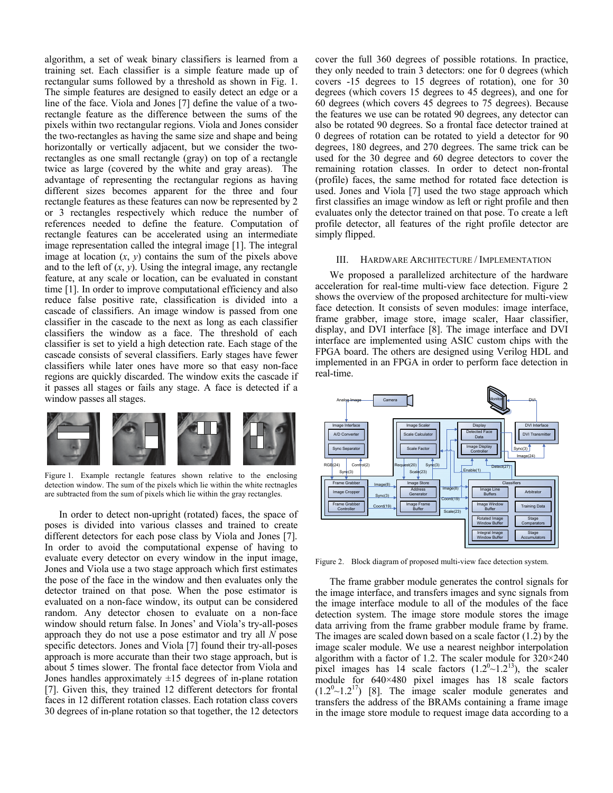algorithm, a set of weak binary classifiers is learned from a training set. Each classifier is a simple feature made up of rectangular sums followed by a threshold as shown in Fig. 1. The simple features are designed to easily detect an edge or a line of the face. Viola and Jones [7] define the value of a tworectangle feature as the difference between the sums of the pixels within two rectangular regions. Viola and Jones consider the two-rectangles as having the same size and shape and being horizontally or vertically adjacent, but we consider the tworectangles as one small rectangle (gray) on top of a rectangle twice as large (covered by the white and gray areas). The advantage of representing the rectangular regions as having different sizes becomes apparent for the three and four rectangle features as these features can now be represented by 2 or 3 rectangles respectively which reduce the number of references needed to define the feature. Computation of rectangle features can be accelerated using an intermediate image representation called the integral image [1]. The integral image at location  $(x, y)$  contains the sum of the pixels above and to the left of  $(x, y)$ . Using the integral image, any rectangle feature, at any scale or location, can be evaluated in constant time [1]. In order to improve computational efficiency and also reduce false positive rate, classification is divided into a cascade of classifiers. An image window is passed from one classifier in the cascade to the next as long as each classifier classifiers the window as a face. The threshold of each classifier is set to yield a high detection rate. Each stage of the cascade consists of several classifiers. Early stages have fewer classifiers while later ones have more so that easy non-face regions are quickly discarded. The window exits the cascade if it passes all stages or fails any stage. A face is detected if a window passes all stages.



Figure 1. Example rectangle features shown relative to the enclosing detection window. The sum of the pixels which lie within the white rectnagles are subtracted from the sum of pixels which lie within the gray rectangles.

In order to detect non-upright (rotated) faces, the space of poses is divided into various classes and trained to create different detectors for each pose class by Viola and Jones [7]. In order to avoid the computational expense of having to evaluate every detector on every window in the input image, Jones and Viola use a two stage approach which first estimates the pose of the face in the window and then evaluates only the detector trained on that pose. When the pose estimator is evaluated on a non-face window, its output can be considered random. Any detector chosen to evaluate on a non-face window should return false. In Jones' and Viola's try-all-poses approach they do not use a pose estimator and try all *N* pose specific detectors. Jones and Viola [7] found their try-all-poses approach is more accurate than their two stage approach, but is about 5 times slower. The frontal face detector from Viola and Jones handles approximately  $\pm 15$  degrees of in-plane rotation [7]. Given this, they trained 12 different detectors for frontal faces in 12 different rotation classes. Each rotation class covers 30 degrees of in-plane rotation so that together, the 12 detectors cover the full 360 degrees of possible rotations. In practice, they only needed to train 3 detectors: one for 0 degrees (which covers -15 degrees to 15 degrees of rotation), one for 30 degrees (which covers 15 degrees to 45 degrees), and one for 60 degrees (which covers 45 degrees to 75 degrees). Because the features we use can be rotated 90 degrees, any detector can also be rotated 90 degrees. So a frontal face detector trained at 0 degrees of rotation can be rotated to yield a detector for 90 degrees, 180 degrees, and 270 degrees. The same trick can be used for the 30 degree and 60 degree detectors to cover the remaining rotation classes. In order to detect non-frontal (profile) faces, the same method for rotated face detection is used. Jones and Viola [7] used the two stage approach which first classifies an image window as left or right profile and then evaluates only the detector trained on that pose. To create a left profile detector, all features of the right profile detector are simply flipped.

### III. HARDWARE ARCHITECTURE / IMPLEMENTATION

We proposed a parallelized architecture of the hardware acceleration for real-time multi-view face detection. Figure 2 shows the overview of the proposed architecture for multi-view face detection. It consists of seven modules: image interface, frame grabber, image store, image scaler, Haar classifier, display, and DVI interface [8]. The image interface and DVI interface are implemented using ASIC custom chips with the FPGA board. The others are designed using Verilog HDL and implemented in an FPGA in order to perform face detection in real-time.



Figure 2. Block diagram of proposed multi-view face detection system.

The frame grabber module generates the control signals for the image interface, and transfers images and sync signals from the image interface module to all of the modules of the face detection system. The image store module stores the image data arriving from the frame grabber module frame by frame. The images are scaled down based on a scale factor (1.2) by the image scaler module. We use a nearest neighbor interpolation algorithm with a factor of 1.2. The scaler module for  $320 \times 240$ pixel images has 14 scale factors  $(1.2<sup>0</sup> \sim 1.2<sup>13</sup>)$ , the scaler module for 640×480 pixel images has 18 scale factors  $(1.2<sup>0</sup>~1.2<sup>17</sup>)$  [8]. The image scaler module generates and transfers the address of the BRAMs containing a frame image in the image store module to request image data according to a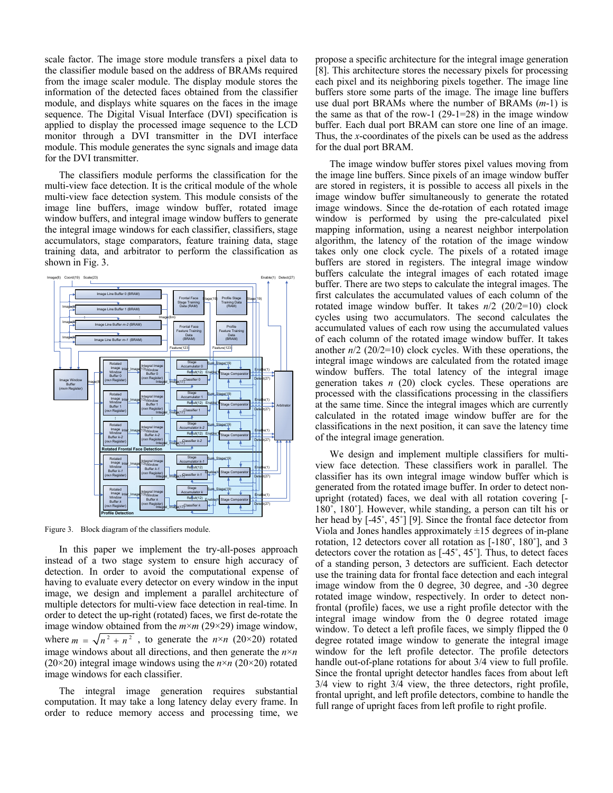scale factor. The image store module transfers a pixel data to the classifier module based on the address of BRAMs required from the image scaler module. The display module stores the information of the detected faces obtained from the classifier module, and displays white squares on the faces in the image sequence. The Digital Visual Interface (DVI) specification is applied to display the processed image sequence to the LCD monitor through a DVI transmitter in the DVI interface module. This module generates the sync signals and image data for the DVI transmitter.

The classifiers module performs the classification for the multi-view face detection. It is the critical module of the whole multi-view face detection system. This module consists of the image line buffers, image window buffer, rotated image window buffers, and integral image window buffers to generate the integral image windows for each classifier, classifiers, stage accumulators, stage comparators, feature training data, stage training data, and arbitrator to perform the classification as shown in Fig. 3.



Figure 3. Block diagram of the classifiers module.

In this paper we implement the try-all-poses approach instead of a two stage system to ensure high accuracy of detection. In order to avoid the computational expense of having to evaluate every detector on every window in the input image, we design and implement a parallel architecture of multiple detectors for multi-view face detection in real-time. In order to detect the up-right (rotated) faces, we first de-rotate the image window obtained from the *m*×*m* (29×29) image window, where  $m = \sqrt{n^2 + n^2}$ , to generate the  $n \times n$  (20×20) rotated image windows about all directions, and then generate the  $n \times n$ (20×20) integral image windows using the  $n \times n$  (20×20) rotated image windows for each classifier.

The integral image generation requires substantial computation. It may take a long latency delay every frame. In order to reduce memory access and processing time, we

propose a specific architecture for the integral image generation [8]. This architecture stores the necessary pixels for processing each pixel and its neighboring pixels together. The image line buffers store some parts of the image. The image line buffers use dual port BRAMs where the number of BRAMs (*m*-1) is the same as that of the row-1  $(29-1=28)$  in the image window buffer. Each dual port BRAM can store one line of an image. Thus, the *x*-coordinates of the pixels can be used as the address for the dual port BRAM.

The image window buffer stores pixel values moving from the image line buffers. Since pixels of an image window buffer are stored in registers, it is possible to access all pixels in the image window buffer simultaneously to generate the rotated image windows. Since the de-rotation of each rotated image window is performed by using the pre-calculated pixel mapping information, using a nearest neighbor interpolation algorithm, the latency of the rotation of the image window takes only one clock cycle. The pixels of a rotated image buffers are stored in registers. The integral image window buffers calculate the integral images of each rotated image buffer. There are two steps to calculate the integral images. The first calculates the accumulated values of each column of the rotated image window buffer. It takes *n*/2 (20/2=10) clock cycles using two accumulators. The second calculates the accumulated values of each row using the accumulated values of each column of the rotated image window buffer. It takes another *n*/2 (20/2=10) clock cycles. With these operations, the integral image windows are calculated from the rotated image window buffers. The total latency of the integral image generation takes *n* (20) clock cycles. These operations are processed with the classifications processing in the classifiers at the same time. Since the integral images which are currently calculated in the rotated image window buffer are for the classifications in the next position, it can save the latency time of the integral image generation.

We design and implement multiple classifiers for multiview face detection. These classifiers work in parallel. The classifier has its own integral image window buffer which is generated from the rotated image buffer. In order to detect nonupright (rotated) faces, we deal with all rotation covering [-  $180^\circ$ ,  $180^\circ$ ]. However, while standing, a person can tilt his or her head by  $[-45^\circ, 45^\circ]$  [9]. Since the frontal face detector from Viola and Jones handles approximately  $\pm 15$  degrees of in-plane rotation, 12 detectors cover all rotation as  $[-180^\circ, 180^\circ]$ , and 3 detectors cover the rotation as  $[-45^\circ, 45^\circ]$ . Thus, to detect faces of a standing person, 3 detectors are sufficient. Each detector use the training data for frontal face detection and each integral image window from the 0 degree, 30 degree, and -30 degree rotated image window, respectively. In order to detect nonfrontal (profile) faces, we use a right profile detector with the integral image window from the 0 degree rotated image window. To detect a left profile faces, we simply flipped the 0 degree rotated image window to generate the integral image window for the left profile detector. The profile detectors handle out-of-plane rotations for about 3/4 view to full profile. Since the frontal upright detector handles faces from about left 3/4 view to right 3/4 view, the three detectors, right profile, frontal upright, and left profile detectors, combine to handle the full range of upright faces from left profile to right profile.